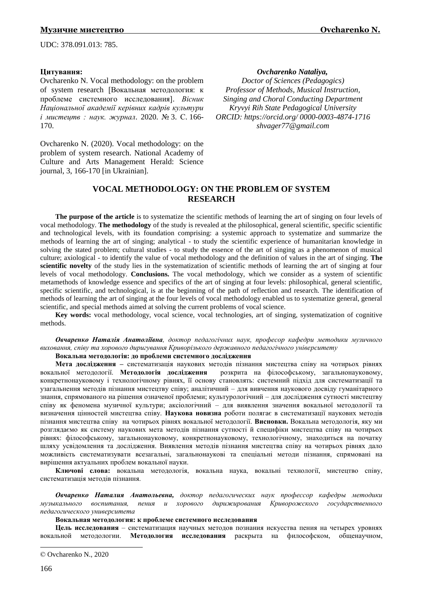UDC: 378.091.013: 785.

### **Цитування:**

Ovcharenko N. Vocal methodology: on the problem of system research [Вокальная методология: к проблеме системного исследования]. *Вісник Національної академії керівних кадрів культури і мистецтв : наук. журнал*. 2020. № 3. С. 166- 170.

Ovcharenko N. (2020). Vocal methodology: on the problem of system research. National Academy of Culture and Arts Management Нerald: Science journal, 3, 166-170 [in Ukrainian].

#### *Ovcharenko Nataliya,©*

*Doctor of Sciences (Pedagogics) Professor of Methods, Musical Instruction, Singing and Choral Conducting Department Kryvyi Rih State Pedagogical University ORCID: <https://orcid.org/> 0000-0003-4874-1716 shvager77@gmail.com*

# **VOCAL METHODOLOGY: ON THE PROBLEM OF SYSTEM RESEARCH**

**The purpose of the article** is to systematize the scientific methods of learning the art of singing on four levels of vocal methodology. **The methodology** of the study is revealed at the philosophical, general scientific, specific scientific and technological levels, with its foundation comprising: a systemic approach to systematize and summarize the methods of learning the art of singing; analytical - to study the scientific experience of humanitarian knowledge in solving the stated problem; cultural studies - to study the essence of the art of singing as a phenomenon of musical culture; axiological - to identify the value of vocal methodology and the definition of values in the art of singing. **The scientific novelty** of the study lies in the systematization of scientific methods of learning the art of singing at four levels of vocal methodology. **Conclusions.** The vocal methodology, which we consider as a system of scientific metamethods of knowledge essence and specifics of the art of singing at four levels: philosophical, general scientific, specific scientific, and technological, is at the beginning of the path of reflection and research. The identification of methods of learning the art of singing at the four levels of vocal methodology enabled us to systematize general, general scientific, and special methods aimed at solving the current problems of vocal science.

**Key words:** vocal methodology, vocal science, vocal technologies, art of singing, systematization of cognitive methods.

*Овчаренко Наталія Анатоліївна, доктор педагогічних наук, професор кафедри методики музичного виховання, співу та хорового диригування Криворізького державного педагогічного університету*

## **Вокальна методологія: до проблеми системного дослідження**

**Мета дослідження –** систематизація наукових методів пізнання мистецтва співу на чотирьох рівнях вокальної методології. **Методологія дослідження** розкрита на філософському, загальнонауковому, конкретнонауковому і технологічному рівнях, її основу становлять: системний підхід для систематизації та узагальнення методів пізнання мистецтву співу; аналітичний – для вивчення наукового досвіду гуманітарного знання, спрямованого на рішення означеної проблеми; культурологічний – для дослідження сутності мистецтву співу як феномена музичної культури; аксіологічний – для виявлення значення вокальної методології та визначення цінностей мистецтва співу. **Наукова новизна** роботи полягає в систематизації наукових методів пізнання мистецтва співу на чотирьох рівнях вокальної методології. **Висновки.** Вокальна методологія, яку ми розглядаємо як систему наукових мета методів пізнання сутності й специфіки мистецтва співу на чотирьох рівнях: філософському, загальнонауковому, конкретнонауковому, технологічному, знаходиться на початку шляху усвідомлення та дослідження. Виявлення методів пізнання мистецтва співу на чотирьох рівнях дало можливість систематизувати всезагальні, загальнонаукові та спеціальні методи пізнання, спрямовані на вирішення актуальних проблем вокальної науки.

**Ключові слова:** вокальна методологія, вокальна наука, вокальні технології, мистецтво співу, систематизація методів пізнання.

*Овчаренко Наталия Анатольевна, доктор педагогических наук профессор кафедры методики музыкального воспитания, пения и хорового дирижирования Криворожского государственного педагогического университета*

#### **Вокальная методология: к проблеме системного исследования**

**Цель исследования** – систематизация научных методов познания искусства пения на четырех уровнях вокальной методологии. **Методология исследования** раскрыта на философском, общенаучном,

1

<sup>©</sup> Ovcharenko N., 2020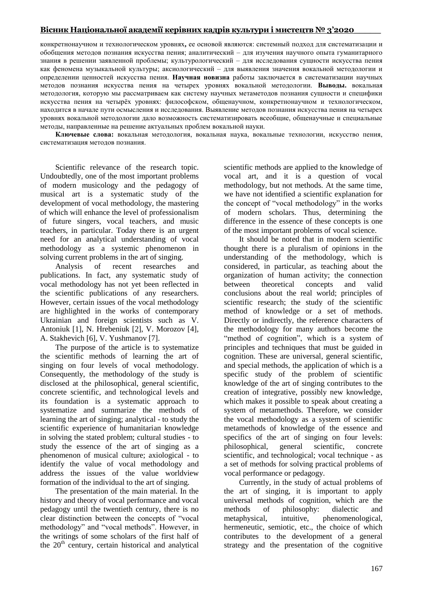# **Вісник Національної академії керівних кадрів культури і мистецтв № 3'2020\_\_\_\_\_**

конкретнонаучном и технологическом уровнях**,** ее основой являются: системный подход для систематизации и обобщения методов познания искусства пения; аналитический – для изучения научного опыта гуманитарного знания в решении заявленной проблемы; культурологический – для исследования сущности искусства пения как феномена музыкальной культуры; аксиологический – для выявления значения вокальной методологии и определении ценностей искусства пения. **Научная новизна** работы заключается в систематизации научных методов познания искусства пения на четырех уровнях вокальной методологии. **Выводы.** вокальная методология, которую мы рассматриваем как систему научных метаметодов познания сущности и специфики искусства пения на четырѐх уровнях: философском, общенаучном, конкретнонаучном и технологическом, находится в начале пути осмысления и исследования. Выявление методов познания искусства пения на четырех уровнях вокальной методологии дало возможность систематизировать всеобщие, общенаучные и специальные методы, направленные на решение актуальных проблем вокальной науки.

**Ключевые слова:** вокальная методология, вокальная наука, вокальные технологии, искусство пения, систематизация методов познания.

Scientific relevance of the research topic. Undoubtedly, one of the most important problems of modern musicology and the pedagogy of musical art is a systematic study of the development of vocal methodology, the mastering of which will enhance the level of professionalism of future singers, vocal teachers, and music teachers, in particular. Today there is an urgent need for an analytical understanding of vocal methodology as a systemic phenomenon in solving current problems in the art of singing.

Analysis of recent researches and publications. In fact, any systematic study of vocal methodology has not yet been reflected in the scientific publications of any researchers. However, certain issues of the vocal methodology are highlighted in the works of contemporary Ukrainian and foreign scientists such as V. Antoniuk [1], N. Hrebeniuk [2], V. Morozov [4], A. Stakhevich [6], V. Yushmanov [7].

The purpose of the article is to systematize the scientific methods of learning the art of singing on four levels of vocal methodology. Consequently, the methodology of the study is disclosed at the philosophical, general scientific, concrete scientific, and technological levels and its foundation is a systematic approach to systematize and summarize the methods of learning the art of singing; analytical - to study the scientific experience of humanitarian knowledge in solving the stated problem; cultural studies - to study the essence of the art of singing as a phenomenon of musical culture; axiological - to identify the value of vocal methodology and address the issues of the value worldview formation of the individual to the art of singing.

The presentation of the main material. In the history and theory of vocal performance and vocal pedagogy until the twentieth century, there is no clear distinction between the concepts of "vocal" methodology" and "vocal methods". However, in the writings of some scholars of the first half of the  $20<sup>th</sup>$  century, certain historical and analytical scientific methods are applied to the knowledge of vocal art, and it is a question of vocal methodology, but not methods. At the same time, we have not identified a scientific explanation for the concept of "vocal methodology" in the works of modern scholars. Thus, determining the difference in the essence of these concepts is one of the most important problems of vocal science.

It should be noted that in modern scientific thought there is a pluralism of opinions in the understanding of the methodology, which is considered, in particular, as teaching about the organization of human activity; the connection between theoretical concepts and valid conclusions about the real world; principles of scientific research; the study of the scientific method of knowledge or a set of methods. Directly or indirectly, the reference characters of the methodology for many authors become the "method of cognition", which is a system of principles and techniques that must be guided in cognition. These are universal, general scientific, and special methods, the application of which is a specific study of the problem of scientific knowledge of the art of singing contributes to the creation of integrative, possibly new knowledge, which makes it possible to speak about creating a system of metamethods. Therefore, we consider the vocal methodology as a system of scientific metamethods of knowledge of the essence and specifics of the art of singing on four levels: philosophical, general scientific, concrete scientific, and technological; vocal technique - as a set of methods for solving practical problems of vocal performance or pedagogy.

Currently, in the study of actual problems of the art of singing, it is important to apply universal methods of cognition, which are the methods of philosophy: dialectic and metaphysical, intuitive, phenomenological, hermeneutic, semiotic, etc., the choice of which contributes to the development of a general strategy and the presentation of the cognitive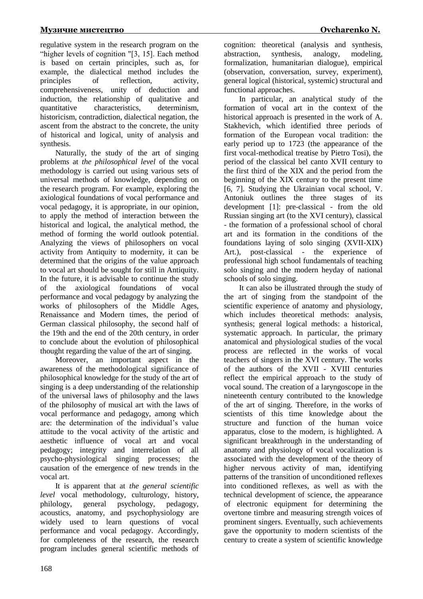regulative system in the research program on the "higher levels of cognition "[3, 15]. Each method is based on certain principles, such as, for example, the dialectical method includes the principles of reflection, activity, comprehensiveness, unity of deduction and induction, the relationship of qualitative and quantitative characteristics, determinism, historicism, contradiction, dialectical negation, the ascent from the abstract to the concrete, the unity of historical and logical, unity of analysis and synthesis.

Naturally, the study of the art of singing problems at *the philosophical level* of the vocal methodology is carried out using various sets of universal methods of knowledge, depending on the research program. For example, exploring the axiological foundations of vocal performance and vocal pedagogy, it is appropriate, in our opinion, to apply the method of interaction between the historical and logical, the analytical method, the method of forming the world outlook potential. Analyzing the views of philosophers on vocal activity from Antiquity to modernity, it can be determined that the origins of the value approach to vocal art should be sought for still in Antiquity. In the future, it is advisable to continue the study of the axiological foundations of vocal performance and vocal pedagogy by analyzing the works of philosophers of the Middle Ages, Renaissance and Modern times, the period of German classical philosophy, the second half of the 19th and the end of the 20th century, in order to conclude about the evolution of philosophical thought regarding the value of the art of singing.

Moreover, an important aspect in the awareness of the methodological significance of philosophical knowledge for the study of the art of singing is a deep understanding of the relationship of the universal laws of philosophy and the laws of the philosophy of musical art with the laws of vocal performance and pedagogy, among which are: the determination of the individual's value attitude to the vocal activity of the artistic and aesthetic influence of vocal art and vocal pedagogy; integrity and interrelation of all psycho-physiological singing processes; the causation of the emergence of new trends in the vocal art.

It is apparent that at *the general scientific level* vocal methodology, culturology, history, philology, general psychology, pedagogy, acoustics, anatomy, and psychophysiology are widely used to learn questions of vocal performance and vocal pedagogy. Accordingly, for completeness of the research, the research program includes general scientific methods of cognition: theoretical (analysis and synthesis, abstraction, synthesis, analogy, modeling, formalization, humanitarian dialogue), empirical (observation, conversation, survey, experiment), general logical (historical, systemic) structural and functional approaches.

In particular, an analytical study of the formation of vocal art in the context of the historical approach is presented in the work of A. Stakhevich, which identified three periods of formation of the European vocal tradition: the early period up to 1723 (the appearance of the first vocal-methodical treatise by Pietro Tosi), the period of the classical bel canto XVII century to the first third of the XIX and the period from the beginning of the XIX century to the present time [6, 7]. Studying the Ukrainian vocal school, V. Antoniuk outlines the three stages of its development [1]: pre-classical - from the old Russian singing art (to the XVI century), classical - the formation of a professional school of choral art and its formation in the conditions of the foundations laying of solo singing (XVII-XIX) Art.), post-classical - the experience of professional high school fundamentals of teaching solo singing and the modern heyday of national schools of solo singing.

It can also be illustrated through the study of the art of singing from the standpoint of the scientific experience of anatomy and physiology, which includes theoretical methods: analysis, synthesis; general logical methods: a historical, systematic approach. In particular, the primary anatomical and physiological studies of the vocal process are reflected in the works of vocal teachers of singers in the XVI century. The works of the authors of the XVII - XVIII centuries reflect the empirical approach to the study of vocal sound. The creation of a laryngoscope in the nineteenth century contributed to the knowledge of the art of singing. Therefore, in the works of scientists of this time knowledge about the structure and function of the human voice apparatus, close to the modern, is highlighted. A significant breakthrough in the understanding of anatomy and physiology of vocal vocalization is associated with the development of the theory of higher nervous activity of man, identifying patterns of the transition of unconditioned reflexes into conditioned reflexes, as well as with the technical development of science, the appearance of electronic equipment for determining the overtone timbre and measuring strength voices of prominent singers. Eventually, such achievements gave the opportunity to modern scientists of the century to create a system of scientific knowledge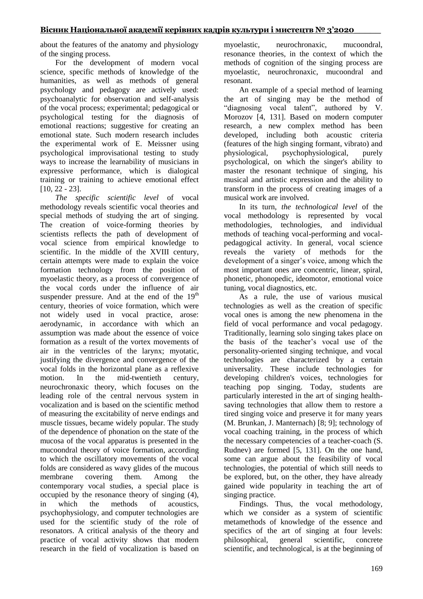about the features of the anatomy and physiology of the singing process.

For the development of modern vocal science, specific methods of knowledge of the humanities, as well as methods of general psychology and pedagogy are actively used: psychoanalytic for observation and self-analysis of the vocal process; experimental; pedagogical or psychological testing for the diagnosis of emotional reactions; suggestive for creating an emotional state. Such modern research includes the experimental work of E. Meissner using psychological improvisational testing to study ways to increase the learnability of musicians in expressive performance, which is dialogical training or training to achieve emotional effect [10, 22 - 23].

*The specific scientific level* of vocal methodology reveals scientific vocal theories and special methods of studying the art of singing. The creation of voice-forming theories by scientists reflects the path of development of vocal science from empirical knowledge to scientific. In the middle of the XVIII century, certain attempts were made to explain the voice formation technology from the position of myoelastic theory, as a process of convergence of the vocal cords under the influence of air suspender pressure. And at the end of the  $19<sup>th</sup>$ century, theories of voice formation, which were not widely used in vocal practice, arose: aerodynamic, in accordance with which an assumption was made about the essence of voice formation as a result of the vortex movements of air in the ventricles of the larynx; myotatic, justifying the divergence and convergence of the vocal folds in the horizontal plane as a reflexive motion. In the mid-twentieth century, neurochronaxic theory, which focuses on the leading role of the central nervous system in vocalization and is based on the scientific method of measuring the excitability of nerve endings and muscle tissues, became widely popular. The study of the dependence of phonation on the state of the mucosa of the vocal apparatus is presented in the mucoondral theory of voice formation, according to which the oscillatory movements of the vocal folds are considered as wavy glides of the mucous membrane covering them. Among the contemporary vocal studies, a special place is occupied by the resonance theory of singing (4), in which the methods of acoustics, psychophysiology, and computer technologies are used for the scientific study of the role of resonators. A critical analysis of the theory and practice of vocal activity shows that modern research in the field of vocalization is based on myoelastic, neurochronaxic, mucoondral, resonance theories, in the context of which the methods of cognition of the singing process are myoelastic, neurochronaxic, mucoondral and resonant.

An example of a special method of learning the art of singing may be the method of "diagnosing vocal talent", authored by V. Morozov [4, 131]. Based on modern computer research, a new complex method has been developed, including both acoustic criteria (features of the high singing formant, vibrato) and physiological, psychophysiological, purely psychological, on which the singer's ability to master the resonant technique of singing, his musical and artistic expression and the ability to transform in the process of creating images of a musical work are involved.

In its turn, *the technological level* of the vocal methodology is represented by vocal methodologies, technologies, and individual methods of teaching vocal-performing and vocalpedagogical activity. In general, vocal science reveals the variety of methods for the development of a singer's voice, among which the most important ones are concentric, linear, spiral, phonetic, phonopedic, ideomotor, emotional voice tuning, vocal diagnostics, etc.

As a rule, the use of various musical technologies as well as the creation of specific vocal ones is among the new phenomena in the field of vocal performance and vocal pedagogy. Traditionally, learning solo singing takes place on the basis of the teacher's vocal use of the personality-oriented singing technique, and vocal technologies are characterized by a certain universality. These include technologies for developing children's voices, technologies for teaching pop singing. Today, students are particularly interested in the art of singing healthsaving technologies that allow them to restore a tired singing voice and preserve it for many years (M. Brunkan, J. Manternach) [8; 9]; technology of vocal coaching training, in the process of which the necessary competencies of a teacher-coach (S. Rudney) are formed [5, 131]. On the one hand, some can argue about the feasibility of vocal technologies, the potential of which still needs to be explored, but, on the other, they have already gained wide popularity in teaching the art of singing practice.

Findings. Thus, the vocal methodology, which we consider as a system of scientific metamethods of knowledge of the essence and specifics of the art of singing at four levels: philosophical, general scientific, concrete scientific, and technological, is at the beginning of